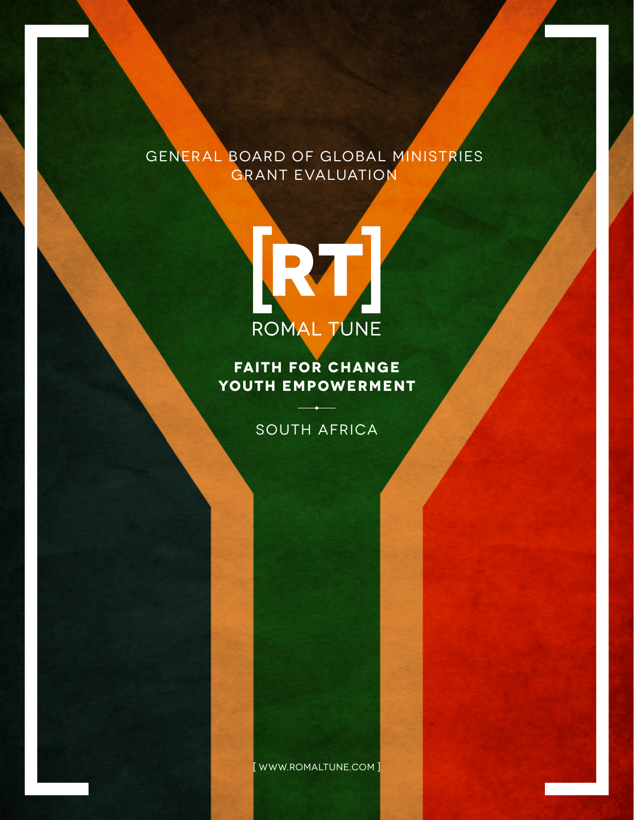## General Board of Global Ministries Grant Evaluation



**Faith for Change Youth Empowerment**

## SOUTH AFRICA

[ www.romaltune.com ]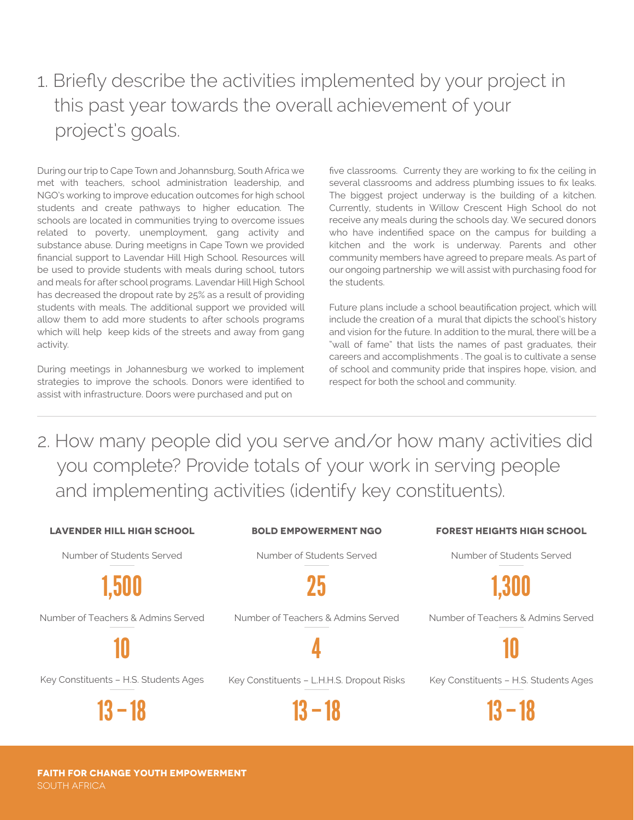# 1. Briefly describe the activities implemented by your project in this past year towards the overall achievement of your project's goals.

During our trip to Cape Town and Johannsburg, South Africa we met with teachers, school administration leadership, and NGO's working to improve education outcomes for high school students and create pathways to higher education. The schools are located in communities trying to overcome issues related to poverty, unemployment, gang activity and substance abuse. During meetigns in Cape Town we provided nancial support to Lavendar Hill High School. Resources will be used to provide students with meals during school, tutors and meals for after school programs. Lavendar Hill High School has decreased the dropout rate by 25% as a result of providing students with meals. The additional support we provided will allow them to add more students to after schools programs which will help keep kids of the streets and away from gang activity.

During meetings in Johannesburg we worked to implement strategies to improve the schools. Donors were identified to assist with infrastructure. Doors were purchased and put on

five classrooms. Currenty they are working to fix the ceiling in several classrooms and address plumbing issues to fix leaks. The biggest project underway is the building of a kitchen. Currently, students in Willow Crescent High School do not receive any meals during the schools day. We secured donors who have indentified space on the campus for building a kitchen and the work is underway. Parents and other community members have agreed to prepare meals. As part of our ongoing partnership we will assist with purchasing food for the students.

Future plans include a school beautification project, which will include the creation of a mural that dipicts the school's history and vision for the future. In addition to the mural, there will be a "wall of fame" that lists the names of past graduates, their careers and accomplishments . The goal is to cultivate a sense of school and community pride that inspires hope, vision, and respect for both the school and community.

2. How many people did you serve and/or how many activities did you complete? Provide totals of your work in serving people and implementing activities (identify key constituents).

| <b>LAVENDER HILL HIGH SCHOOL</b>      | <b>BOLD EMPOWERMENT NGO</b>               | <b>FOREST HEIGHTS HIGH SCHOOL</b>     |
|---------------------------------------|-------------------------------------------|---------------------------------------|
| Number of Students Served             | Number of Students Served                 | Number of Students Served             |
| 1.500                                 | 75                                        | 1.300                                 |
| Number of Teachers & Admins Served    | Number of Teachers & Admins Served        | Number of Teachers & Admins Served    |
|                                       |                                           |                                       |
| Key Constituents - H.S. Students Ages | Key Constituents - L.H.H.S. Dropout Risks | Key Constituents - H.S. Students Ages |
| 13 – 18                               | 13 — 18                                   | $13 - 18$                             |

**Faith for Change Youth Empowerment** SOUTH AFRICA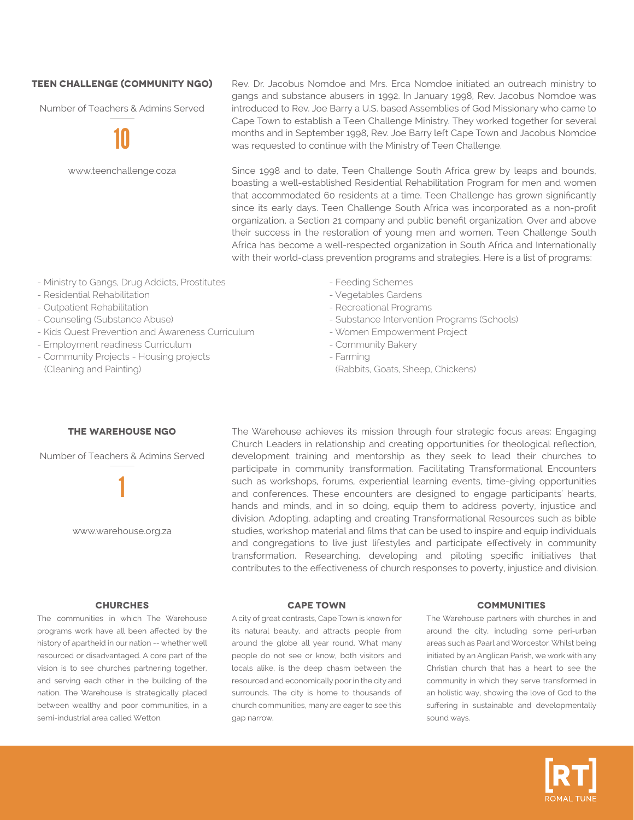### **TEEN CHALLENGE (COMMUNITY NGO)**

Number of Teachers & Admins Served

10

www.teenchallenge.coza

Rev. Dr. Jacobus Nomdoe and Mrs. Erca Nomdoe initiated an outreach ministry to gangs and substance abusers in 1992. In January 1998, Rev. Jacobus Nomdoe was introduced to Rev. Joe Barry a U.S. based Assemblies of God Missionary who came to Cape Town to establish a Teen Challenge Ministry. They worked together for several months and in September 1998, Rev. Joe Barry left Cape Town and Jacobus Nomdoe was requested to continue with the Ministry of Teen Challenge.

Since 1998 and to date, Teen Challenge South Africa grew by leaps and bounds, boasting a well-established Residential Rehabilitation Program for men and women that accommodated 60 residents at a time. Teen Challenge has grown significantly since its early days. Teen Challenge South Africa was incorporated as a non-profit organization, a Section 21 company and public benefit organization. Over and above their success in the restoration of young men and women, Teen Challenge South Africa has become a well-respected organization in South Africa and Internationally with their world-class prevention programs and strategies. Here is a list of programs:

- Ministry to Gangs, Drug Addicts, Prostitutes
- Residential Rehabilitation
- Outpatient Rehabilitation
- Counseling (Substance Abuse)
- Kids Quest Prevention and Awareness Curriculum
- Employment readiness Curriculum
- Community Projects Housing projects (Cleaning and Painting)
- Feeding Schemes
- Vegetables Gardens
- Recreational Programs
- Substance Intervention Programs (Schools)
- Women Empowerment Project
- Community Bakery
- Farming
- (Rabbits, Goats, Sheep, Chickens)

The Warehouse achieves its mission through four strategic focus areas: Engaging Church Leaders in relationship and creating opportunities for theological reflection, development training and mentorship as they seek to lead their churches to participate in community transformation. Facilitating Transformational Encounters such as workshops, forums, experiential learning events, time-giving opportunities and conferences. These encounters are designed to engage participants' hearts, hands and minds, and in so doing, equip them to address poverty, injustice and division. Adopting, adapting and creating Transformational Resources such as bible studies, workshop material and films that can be used to inspire and equip individuals and congregations to live just lifestyles and participate effectively in community transformation. Researching, developing and piloting specific initiatives that contributes to the effectiveness of church responses to poverty, injustice and division.

### **The Warehouse NGO**

Number of Teachers & Admins Served

1

www.warehouse.org.za

The communities in which The Warehouse programs work have all been affected by the history of apartheid in our nation -- whether well resourced or disadvantaged. A core part of the vision is to see churches partnering together, and serving each other in the building of the nation. The Warehouse is strategically placed between wealthy and poor communities, in a semi-industrial area called Wetton.

A city of great contrasts, Cape Town is known for its natural beauty, and attracts people from around the globe all year round. What many people do not see or know, both visitors and locals alike, is the deep chasm between the resourced and economically poor in the city and surrounds. The city is home to thousands of church communities, many are eager to see this gap narrow.

#### **CHURCHES CAPE TOWN COMMUNITIES**

The Warehouse partners with churches in and around the city, including some peri-urban areas such as Paarl and Worcestor. Whilst being initiated by an Anglican Parish, we work with any Christian church that has a heart to see the community in which they serve transformed in an holistic way, showing the love of God to the suffering in sustainable and developmentally sound ways.

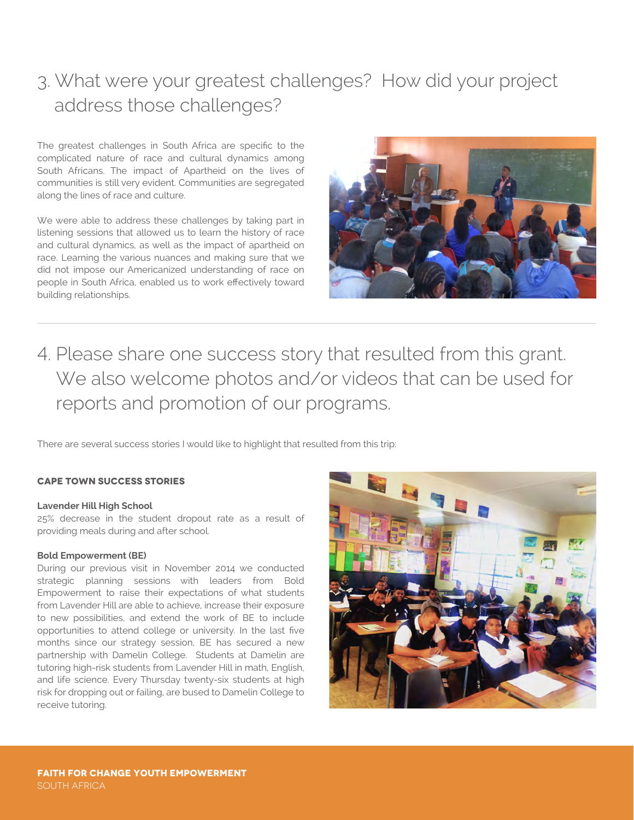# 3. What were your greatest challenges? How did your project address those challenges?

The greatest challenges in South Africa are specific to the complicated nature of race and cultural dynamics among South Africans. The impact of Apartheid on the lives of communities is still very evident. Communities are segregated along the lines of race and culture.

We were able to address these challenges by taking part in listening sessions that allowed us to learn the history of race and cultural dynamics, as well as the impact of apartheid on race. Learning the various nuances and making sure that we did not impose our Americanized understanding of race on people in South Africa, enabled us to work effectively toward building relationships.



4. Please share one success story that resulted from this grant. We also welcome photos and/or videos that can be used for reports and promotion of our programs.

There are several success stories I would like to highlight that resulted from this trip:

### **CAPE TOWN SUCCESS STORIES**

#### **Lavender Hill High School**

25% decrease in the student dropout rate as a result of providing meals during and after school.

#### **Bold Empowerment (BE)**

During our previous visit in November 2014 we conducted strategic planning sessions with leaders from Bold Empowerment to raise their expectations of what students from Lavender Hill are able to achieve, increase their exposure to new possibilities, and extend the work of BE to include opportunities to attend college or university. In the last five months since our strategy session, BE has secured a new partnership with Damelin College. Students at Damelin are tutoring high-risk students from Lavender Hill in math, English, and life science. Every Thursday twenty-six students at high risk for dropping out or failing, are bused to Damelin College to receive tutoring.